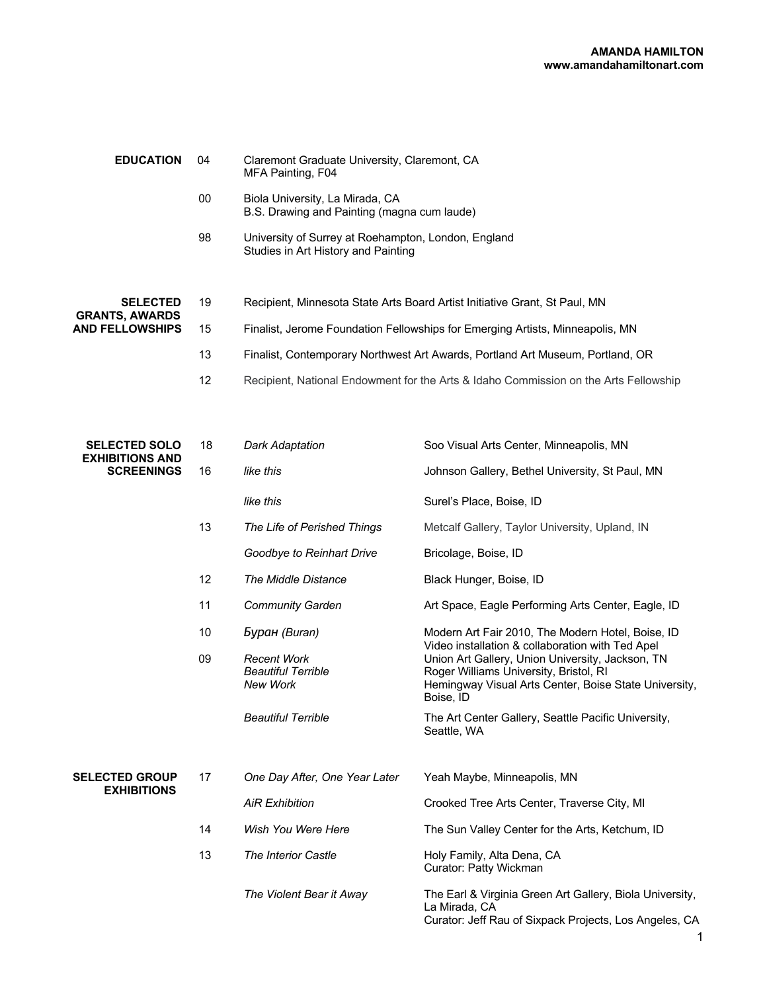| <b>EDUCATION</b>                                                   | 04 | Claremont Graduate University, Claremont, CA<br>MFA Painting, F04                          |
|--------------------------------------------------------------------|----|--------------------------------------------------------------------------------------------|
|                                                                    | 00 | Biola University, La Mirada, CA<br>B.S. Drawing and Painting (magna cum laude)             |
|                                                                    | 98 | University of Surrey at Roehampton, London, England<br>Studies in Art History and Painting |
|                                                                    |    |                                                                                            |
| <b>SELECTED</b><br><b>GRANTS, AWARDS</b><br><b>AND FELLOWSHIPS</b> | 19 | Recipient, Minnesota State Arts Board Artist Initiative Grant, St Paul, MN                 |
|                                                                    | 15 | Finalist, Jerome Foundation Fellowships for Emerging Artists, Minneapolis, MN              |
|                                                                    | 13 | Finalist, Contemporary Northwest Art Awards, Portland Art Museum, Portland, OR             |
|                                                                    | 12 | Recipient, National Endowment for the Arts & Idaho Commission on the Arts Fellowship       |

| <b>SELECTED SOLO</b><br><b>EXHIBITIONS AND</b><br><b>SCREENINGS</b> | 18 | <b>Dark Adaptation</b>                                      | Soo Visual Arts Center, Minneapolis, MN                                                                                                                          |
|---------------------------------------------------------------------|----|-------------------------------------------------------------|------------------------------------------------------------------------------------------------------------------------------------------------------------------|
|                                                                     | 16 | like this                                                   | Johnson Gallery, Bethel University, St Paul, MN                                                                                                                  |
|                                                                     |    | like this                                                   | Surel's Place, Boise, ID                                                                                                                                         |
|                                                                     | 13 | The Life of Perished Things                                 | Metcalf Gallery, Taylor University, Upland, IN                                                                                                                   |
|                                                                     |    | Goodbye to Reinhart Drive                                   | Bricolage, Boise, ID                                                                                                                                             |
|                                                                     | 12 | The Middle Distance                                         | Black Hunger, Boise, ID                                                                                                                                          |
|                                                                     | 11 | <b>Community Garden</b>                                     | Art Space, Eagle Performing Arts Center, Eagle, ID                                                                                                               |
|                                                                     | 10 | Буран (Buran)                                               | Modern Art Fair 2010, The Modern Hotel, Boise, ID<br>Video installation & collaboration with Ted Apel                                                            |
|                                                                     | 09 | <b>Recent Work</b><br><b>Beautiful Terrible</b><br>New Work | Union Art Gallery, Union University, Jackson, TN<br>Roger Williams University, Bristol, RI<br>Hemingway Visual Arts Center, Boise State University,<br>Boise, ID |
|                                                                     |    | <b>Beautiful Terrible</b>                                   | The Art Center Gallery, Seattle Pacific University,<br>Seattle, WA                                                                                               |
| <b>SELECTED GROUP</b><br><b>EXHIBITIONS</b>                         | 17 | One Day After, One Year Later                               | Yeah Maybe, Minneapolis, MN                                                                                                                                      |
|                                                                     |    | <b>AiR Exhibition</b>                                       | Crooked Tree Arts Center, Traverse City, MI                                                                                                                      |
|                                                                     | 14 | Wish You Were Here                                          | The Sun Valley Center for the Arts, Ketchum, ID                                                                                                                  |
|                                                                     | 13 | <b>The Interior Castle</b>                                  | Holy Family, Alta Dena, CA<br>Curator: Patty Wickman                                                                                                             |
|                                                                     |    | The Violent Bear it Away                                    | The Earl & Virginia Green Art Gallery, Biola University,<br>La Mirada, CA<br>Curator: Jeff Rau of Sixpack Projects, Los Angeles, CA                              |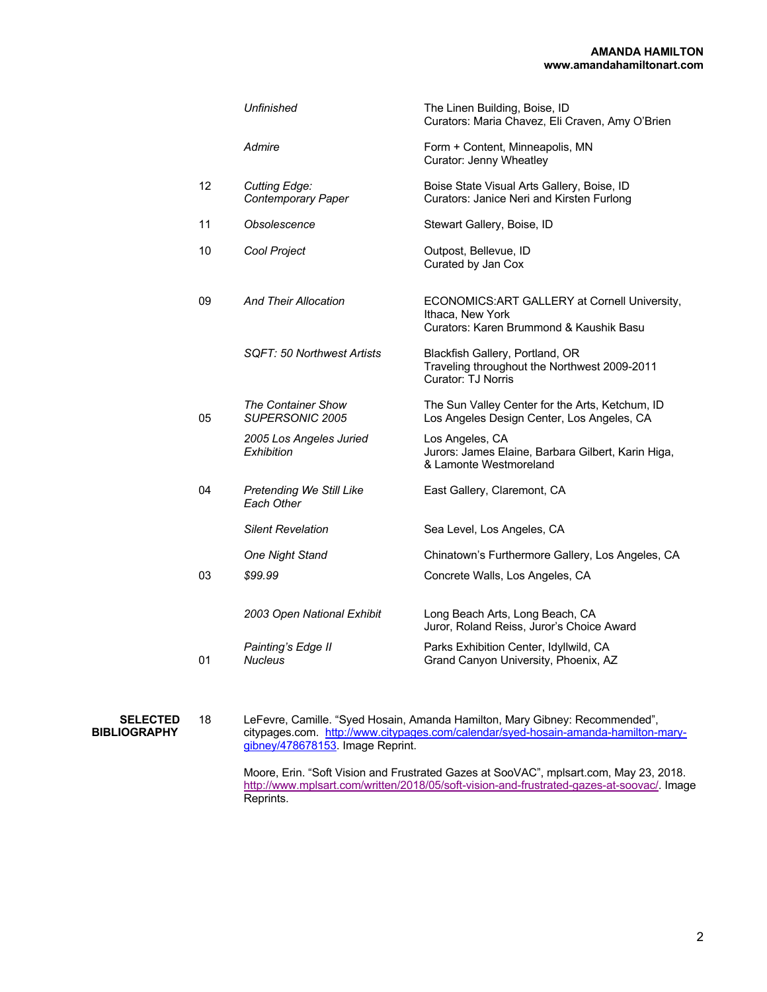|                                        |    | <b>Unfinished</b>                                                                                                                                                                                                                                                                         | The Linen Building, Boise, ID<br>Curators: Maria Chavez, Eli Craven, Amy O'Brien                             |
|----------------------------------------|----|-------------------------------------------------------------------------------------------------------------------------------------------------------------------------------------------------------------------------------------------------------------------------------------------|--------------------------------------------------------------------------------------------------------------|
|                                        |    | Admire                                                                                                                                                                                                                                                                                    | Form + Content, Minneapolis, MN<br>Curator: Jenny Wheatley                                                   |
|                                        | 12 | <b>Cutting Edge:</b><br><b>Contemporary Paper</b>                                                                                                                                                                                                                                         | Boise State Visual Arts Gallery, Boise, ID<br>Curators: Janice Neri and Kirsten Furlong                      |
|                                        | 11 | Obsolescence                                                                                                                                                                                                                                                                              | Stewart Gallery, Boise, ID                                                                                   |
|                                        | 10 | Cool Project                                                                                                                                                                                                                                                                              | Outpost, Bellevue, ID<br>Curated by Jan Cox                                                                  |
|                                        | 09 | <b>And Their Allocation</b>                                                                                                                                                                                                                                                               | ECONOMICS: ART GALLERY at Cornell University,<br>Ithaca, New York<br>Curators: Karen Brummond & Kaushik Basu |
|                                        |    | SQFT: 50 Northwest Artists                                                                                                                                                                                                                                                                | Blackfish Gallery, Portland, OR<br>Traveling throughout the Northwest 2009-2011<br><b>Curator: TJ Norris</b> |
|                                        | 05 | <b>The Container Show</b><br>SUPERSONIC 2005                                                                                                                                                                                                                                              | The Sun Valley Center for the Arts, Ketchum, ID<br>Los Angeles Design Center, Los Angeles, CA                |
|                                        |    | 2005 Los Angeles Juried<br>Exhibition                                                                                                                                                                                                                                                     | Los Angeles, CA<br>Jurors: James Elaine, Barbara Gilbert, Karin Higa,<br>& Lamonte Westmoreland              |
|                                        | 04 | Pretending We Still Like<br>Each Other                                                                                                                                                                                                                                                    | East Gallery, Claremont, CA                                                                                  |
|                                        |    | <b>Silent Revelation</b>                                                                                                                                                                                                                                                                  | Sea Level, Los Angeles, CA                                                                                   |
|                                        |    | One Night Stand                                                                                                                                                                                                                                                                           | Chinatown's Furthermore Gallery, Los Angeles, CA                                                             |
|                                        | 03 | \$99.99                                                                                                                                                                                                                                                                                   | Concrete Walls, Los Angeles, CA                                                                              |
|                                        |    | 2003 Open National Exhibit                                                                                                                                                                                                                                                                | Long Beach Arts, Long Beach, CA<br>Juror, Roland Reiss, Juror's Choice Award                                 |
|                                        | 01 | Painting's Edge II<br><b>Nucleus</b>                                                                                                                                                                                                                                                      | Parks Exhibition Center, Idyllwild, CA<br>Grand Canyon University, Phoenix, AZ                               |
| <b>SELECTED</b><br><b>BIBLIOGRAPHY</b> | 18 | LeFevre, Camille. "Syed Hosain, Amanda Hamilton, Mary Gibney: Recommended",<br>citypages.com. http://www.citypages.com/calendar/syed-hosain-amanda-hamilton-mary-<br>gibney/478678153. Image Reprint.<br>Moore Frin "Soft Vision and Frustrated Gazes at SooVAC" mpleart com May 23, 2018 |                                                                                                              |
|                                        |    |                                                                                                                                                                                                                                                                                           |                                                                                                              |

Moore, Erin. "Soft Vision and Frustrated Gazes at SooVAC", mplsart.com, May 23, 2018. http://www.mplsart.com/written/2018/05/soft-vision-and-frustrated-gazes-at-soovac/. Image Reprints.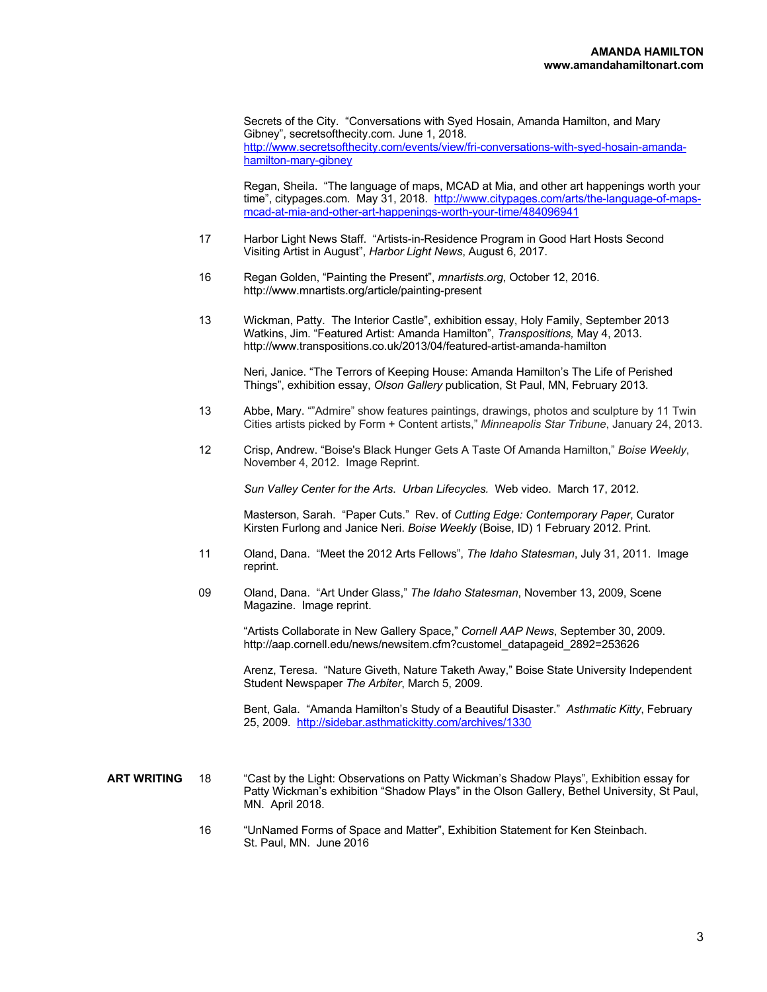Secrets of the City. "Conversations with Syed Hosain, Amanda Hamilton, and Mary Gibney", secretsofthecity.com. June 1, 2018. http://www.secretsofthecity.com/events/view/fri-conversations-with-syed-hosain-amandahamilton-mary-gibney

Regan, Sheila. "The language of maps, MCAD at Mia, and other art happenings worth your time", citypages.com. May 31, 2018. http://www.citypages.com/arts/the-language-of-mapsmcad-at-mia-and-other-art-happenings-worth-your-time/484096941

- 17 Harbor Light News Staff. "Artists-in-Residence Program in Good Hart Hosts Second Visiting Artist in August", *Harbor Light News*, August 6, 2017.
- 16 Regan Golden, "Painting the Present", *mnartists.org*, October 12, 2016. http://www.mnartists.org/article/painting-present
- 13 Wickman, Patty. The Interior Castle", exhibition essay, Holy Family, September 2013 Watkins, Jim. "Featured Artist: Amanda Hamilton", *Transpositions,* May 4, 2013. http://www.transpositions.co.uk/2013/04/featured-artist-amanda-hamilton

Neri, Janice. "The Terrors of Keeping House: Amanda Hamilton's The Life of Perished Things", exhibition essay, *Olson Gallery* publication, St Paul, MN, February 2013.

- 13 Abbe, Mary. ""Admire" show features paintings, drawings, photos and sculpture by 11 Twin Cities artists picked by Form + Content artists," *Minneapolis Star Tribune*, January 24, 2013.
- 12 Crisp, Andrew. "Boise's Black Hunger Gets A Taste Of Amanda Hamilton," *Boise Weekly*, November 4, 2012. Image Reprint.

*Sun Valley Center for the Arts*. *Urban Lifecycles.* Web video. March 17, 2012.

Masterson, Sarah. "Paper Cuts." Rev. of *Cutting Edge: Contemporary Paper*, Curator Kirsten Furlong and Janice Neri. *Boise Weekly* (Boise, ID) 1 February 2012. Print.

- 11 Oland, Dana. "Meet the 2012 Arts Fellows", *The Idaho Statesman*, July 31, 2011. Image reprint.
- 09 Oland, Dana. "Art Under Glass," *The Idaho Statesman*, November 13, 2009, Scene Magazine. Image reprint.

"Artists Collaborate in New Gallery Space," *Cornell AAP News*, September 30, 2009. http://aap.cornell.edu/news/newsitem.cfm?customel\_datapageid\_2892=253626

Arenz, Teresa. "Nature Giveth, Nature Taketh Away," Boise State University Independent Student Newspaper *The Arbiter*, March 5, 2009.

Bent, Gala. "Amanda Hamilton's Study of a Beautiful Disaster." *Asthmatic Kitty*, February 25, 2009. http://sidebar.asthmatickitty.com/archives/1330

- **ART WRITING** 18 "Cast by the Light: Observations on Patty Wickman's Shadow Plays", Exhibition essay for Patty Wickman's exhibition "Shadow Plays" in the Olson Gallery, Bethel University, St Paul, MN. April 2018.
	- 16 "UnNamed Forms of Space and Matter", Exhibition Statement for Ken Steinbach. St. Paul, MN. June 2016